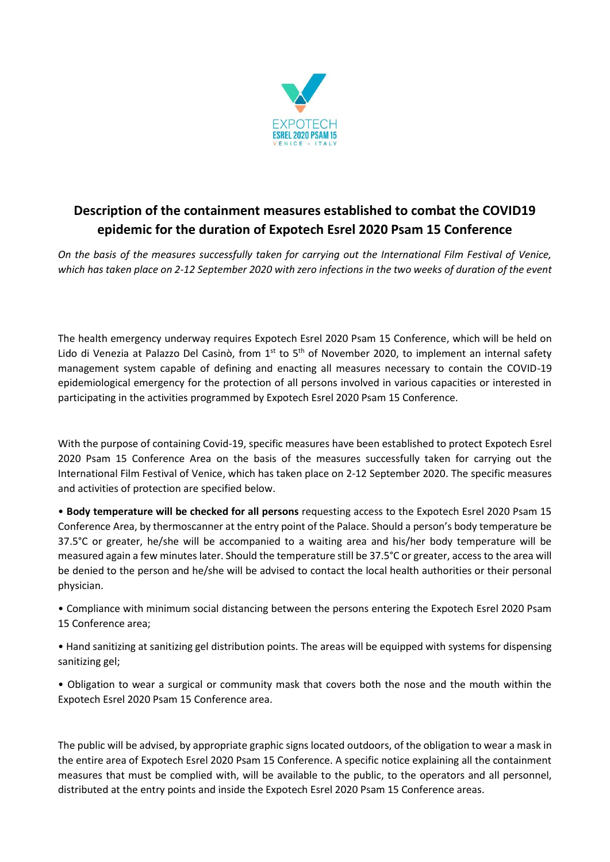

# **Description of the containment measures established to combat the COVID19 epidemic for the duration of Expotech Esrel 2020 Psam 15 Conference**

*On the basis of the measures successfully taken for carrying out the International Film Festival of Venice, which has taken place on 2-12 September 2020 with zero infections in the two weeks of duration of the event*

The health emergency underway requires Expotech Esrel 2020 Psam 15 Conference, which will be held on Lido di Venezia at Palazzo Del Casinò, from 1<sup>st</sup> to 5<sup>th</sup> of November 2020, to implement an internal safety management system capable of defining and enacting all measures necessary to contain the COVID-19 epidemiological emergency for the protection of all persons involved in various capacities or interested in participating in the activities programmed by Expotech Esrel 2020 Psam 15 Conference.

With the purpose of containing Covid-19, specific measures have been established to protect Expotech Esrel 2020 Psam 15 Conference Area on the basis of the measures successfully taken for carrying out the International Film Festival of Venice, which has taken place on 2-12 September 2020. The specific measures and activities of protection are specified below.

• **Body temperature will be checked for all persons** requesting access to the Expotech Esrel 2020 Psam 15 Conference Area, by thermoscanner at the entry point of the Palace. Should a person's body temperature be 37.5°C or greater, he/she will be accompanied to a waiting area and his/her body temperature will be measured again a few minutes later. Should the temperature still be 37.5°C or greater, access to the area will be denied to the person and he/she will be advised to contact the local health authorities or their personal physician.

• Compliance with minimum social distancing between the persons entering the Expotech Esrel 2020 Psam 15 Conference area;

• Hand sanitizing at sanitizing gel distribution points. The areas will be equipped with systems for dispensing sanitizing gel;

• Obligation to wear a surgical or community mask that covers both the nose and the mouth within the Expotech Esrel 2020 Psam 15 Conference area.

The public will be advised, by appropriate graphic signs located outdoors, of the obligation to wear a mask in the entire area of Expotech Esrel 2020 Psam 15 Conference. A specific notice explaining all the containment measures that must be complied with, will be available to the public, to the operators and all personnel, distributed at the entry points and inside the Expotech Esrel 2020 Psam 15 Conference areas.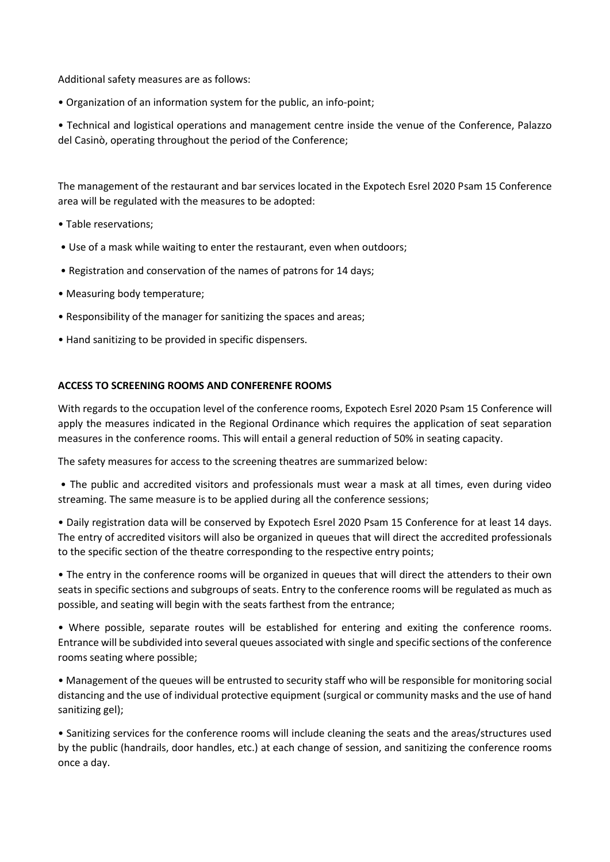Additional safety measures are as follows:

• Organization of an information system for the public, an info-point;

• Technical and logistical operations and management centre inside the venue of the Conference, Palazzo del Casinò, operating throughout the period of the Conference;

The management of the restaurant and bar services located in the Expotech Esrel 2020 Psam 15 Conference area will be regulated with the measures to be adopted:

- Table reservations;
- Use of a mask while waiting to enter the restaurant, even when outdoors;
- Registration and conservation of the names of patrons for 14 days;
- Measuring body temperature;
- Responsibility of the manager for sanitizing the spaces and areas;
- Hand sanitizing to be provided in specific dispensers.

## **ACCESS TO SCREENING ROOMS AND CONFERENFE ROOMS**

With regards to the occupation level of the conference rooms, Expotech Esrel 2020 Psam 15 Conference will apply the measures indicated in the Regional Ordinance which requires the application of seat separation measures in the conference rooms. This will entail a general reduction of 50% in seating capacity.

The safety measures for access to the screening theatres are summarized below:

• The public and accredited visitors and professionals must wear a mask at all times, even during video streaming. The same measure is to be applied during all the conference sessions;

• Daily registration data will be conserved by Expotech Esrel 2020 Psam 15 Conference for at least 14 days. The entry of accredited visitors will also be organized in queues that will direct the accredited professionals to the specific section of the theatre corresponding to the respective entry points;

• The entry in the conference rooms will be organized in queues that will direct the attenders to their own seats in specific sections and subgroups of seats. Entry to the conference rooms will be regulated as much as possible, and seating will begin with the seats farthest from the entrance;

• Where possible, separate routes will be established for entering and exiting the conference rooms. Entrance will be subdivided into several queues associated with single and specific sections of the conference rooms seating where possible;

• Management of the queues will be entrusted to security staff who will be responsible for monitoring social distancing and the use of individual protective equipment (surgical or community masks and the use of hand sanitizing gel);

• Sanitizing services for the conference rooms will include cleaning the seats and the areas/structures used by the public (handrails, door handles, etc.) at each change of session, and sanitizing the conference rooms once a day.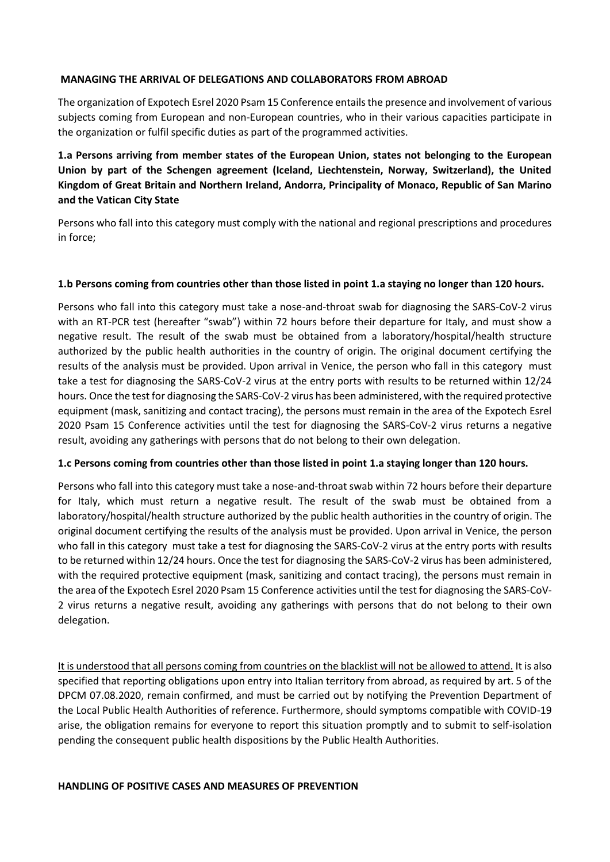#### **MANAGING THE ARRIVAL OF DELEGATIONS AND COLLABORATORS FROM ABROAD**

The organization of Expotech Esrel 2020 Psam 15 Conference entails the presence and involvement of various subjects coming from European and non-European countries, who in their various capacities participate in the organization or fulfil specific duties as part of the programmed activities.

**1.a Persons arriving from member states of the European Union, states not belonging to the European Union by part of the Schengen agreement (Iceland, Liechtenstein, Norway, Switzerland), the United Kingdom of Great Britain and Northern Ireland, Andorra, Principality of Monaco, Republic of San Marino and the Vatican City State**

Persons who fall into this category must comply with the national and regional prescriptions and procedures in force;

#### **1.b Persons coming from countries other than those listed in point 1.a staying no longer than 120 hours.**

Persons who fall into this category must take a nose-and-throat swab for diagnosing the SARS-CoV-2 virus with an RT-PCR test (hereafter "swab") within 72 hours before their departure for Italy, and must show a negative result. The result of the swab must be obtained from a laboratory/hospital/health structure authorized by the public health authorities in the country of origin. The original document certifying the results of the analysis must be provided. Upon arrival in Venice, the person who fall in this category must take a test for diagnosing the SARS-CoV-2 virus at the entry ports with results to be returned within 12/24 hours. Once the test for diagnosing the SARS-CoV-2 virus has been administered, with the required protective equipment (mask, sanitizing and contact tracing), the persons must remain in the area of the Expotech Esrel 2020 Psam 15 Conference activities until the test for diagnosing the SARS-CoV-2 virus returns a negative result, avoiding any gatherings with persons that do not belong to their own delegation.

#### **1.c Persons coming from countries other than those listed in point 1.a staying longer than 120 hours.**

Persons who fall into this category must take a nose-and-throat swab within 72 hours before their departure for Italy, which must return a negative result. The result of the swab must be obtained from a laboratory/hospital/health structure authorized by the public health authorities in the country of origin. The original document certifying the results of the analysis must be provided. Upon arrival in Venice, the person who fall in this category must take a test for diagnosing the SARS-CoV-2 virus at the entry ports with results to be returned within 12/24 hours. Once the test for diagnosing the SARS-CoV-2 virus has been administered, with the required protective equipment (mask, sanitizing and contact tracing), the persons must remain in the area of the Expotech Esrel 2020 Psam 15 Conference activities until the test for diagnosing the SARS-CoV-2 virus returns a negative result, avoiding any gatherings with persons that do not belong to their own delegation.

It is understood that all persons coming from countries on the blacklist will not be allowed to attend. It is also specified that reporting obligations upon entry into Italian territory from abroad, as required by art. 5 of the DPCM 07.08.2020, remain confirmed, and must be carried out by notifying the Prevention Department of the Local Public Health Authorities of reference. Furthermore, should symptoms compatible with COVID-19 arise, the obligation remains for everyone to report this situation promptly and to submit to self-isolation pending the consequent public health dispositions by the Public Health Authorities.

#### **HANDLING OF POSITIVE CASES AND MEASURES OF PREVENTION**